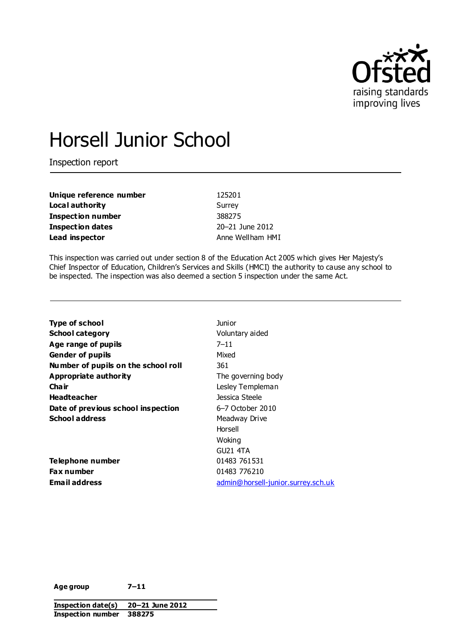

# Horsell Junior School

Inspection report

**Unique reference number** 125201 **Local authority** Surrey **Inspection number** 388275 **Inspection dates** 20–21 June 2012 **Lead inspector Anne Wellham HMI** 

This inspection was carried out under section 8 of the Education Act 2005 which gives Her Majesty's Chief Inspector of Education, Children's Services and Skills (HMCI) the authority to cause any school to be inspected. The inspection was also deemed a section 5 inspection under the same Act.

| Type of school                      | Junior                             |
|-------------------------------------|------------------------------------|
| <b>School category</b>              | Voluntary aided                    |
| Age range of pupils                 | $7 - 11$                           |
| <b>Gender of pupils</b>             | Mixed                              |
| Number of pupils on the school roll | 361                                |
| Appropriate authority               | The governing body                 |
| Cha ir                              | Lesley Templeman                   |
| <b>Headteacher</b>                  | Jessica Steele                     |
| Date of previous school inspection  | 6–7 October 2010                   |
| <b>School address</b>               | Meadway Drive                      |
|                                     | Horsell                            |
|                                     | Woking                             |
|                                     | GU21 4TA                           |
| Telephone number                    | 01483 761531                       |
| <b>Fax number</b>                   | 01483 776210                       |
| Email address                       | admin@horsell-junior.surrey.sch.uk |
|                                     |                                    |

**Age group 7–11**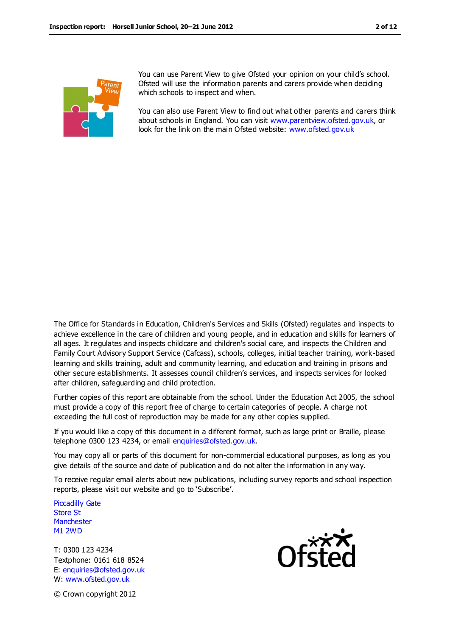

You can use Parent View to give Ofsted your opinion on your child's school. Ofsted will use the information parents and carers provide when deciding which schools to inspect and when.

You can also use Parent View to find out what other parents and carers think about schools in England. You can visit [www.parentview.ofsted.gov.uk,](http://www.parentview.ofsted.gov.uk/) or look for the link on the main Ofsted website: [www.ofsted.gov.uk](http://www.ofsted.gov.uk/)

The Office for Standards in Education, Children's Services and Skills (Ofsted) regulates and inspects to achieve excellence in the care of children and young people, and in education and skills for learners of all ages. It regulates and inspects childcare and children's social care, and inspects the Children and Family Court Advisory Support Service (Cafcass), schools, colleges, initial teacher training, work-based learning and skills training, adult and community learning, and education and training in prisons and other secure establishments. It assesses council children's services, and inspects services for looked after children, safeguarding and child protection.

Further copies of this report are obtainable from the school. Under the Education Act 2005, the school must provide a copy of this report free of charge to certain categories of people. A charge not exceeding the full cost of reproduction may be made for any other copies supplied.

If you would like a copy of this document in a different format, such as large print or Braille, please telephone 0300 123 4234, or email enquiries@ofsted.gov.uk.

You may copy all or parts of this document for non-commercial educational purposes, as long as you give details of the source and date of publication and do not alter the information in any way.

To receive regular email alerts about new publications, including survey reports and school inspection reports, please visit our website and go to 'Subscribe'.

Piccadilly Gate Store St **Manchester** M1 2WD

T: 0300 123 4234 Textphone: 0161 618 8524 E: enquiries@ofsted.gov.uk W: www.ofsted.gov.uk



© Crown copyright 2012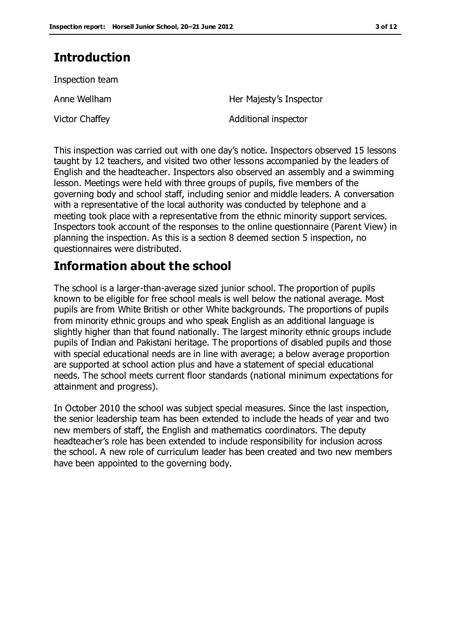## **Introduction**

Inspection team

Anne Wellham Her Majesty's Inspector

Victor Chaffey **Additional inspector** 

This inspection was carried out with one day's notice. Inspectors observed 15 lessons taught by 12 teachers, and visited two other lessons accompanied by the leaders of English and the headteacher. Inspectors also observed an assembly and a swimming lesson. Meetings were held with three groups of pupils, five members of the governing body and school staff, including senior and middle leaders. A conversation with a representative of the local authority was conducted by telephone and a meeting took place with a representative from the ethnic minority support services. Inspectors took account of the responses to the online questionnaire (Parent View) in planning the inspection. As this is a section 8 deemed section 5 inspection, no questionnaires were distributed.

## **Information about the school**

The school is a larger-than-average sized junior school. The proportion of pupils known to be eligible for free school meals is well below the national average. Most pupils are from White British or other White backgrounds. The proportions of pupils from minority ethnic groups and who speak English as an additional language is slightly higher than that found nationally. The largest minority ethnic groups include pupils of Indian and Pakistani heritage. The proportions of disabled pupils and those with special educational needs are in line with average; a below average proportion are supported at school action plus and have a statement of special educational needs. The school meets current floor standards (national minimum expectations for attainment and progress).

In October 2010 the school was subject special measures. Since the last inspection, the senior leadership team has been extended to include the heads of year and two new members of staff, the English and mathematics coordinators. The deputy headteacher's role has been extended to include responsibility for inclusion across the school. A new role of curriculum leader has been created and two new members have been appointed to the governing body.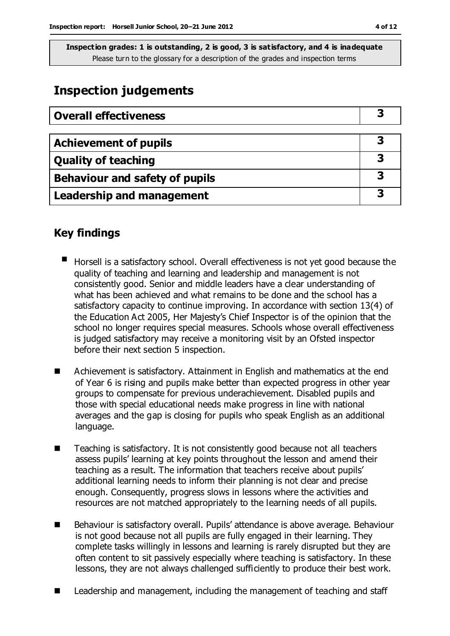## **Inspection judgements**

| <b>Overall effectiveness</b>     |  |
|----------------------------------|--|
|                                  |  |
| <b>Achievement of pupils</b>     |  |
| <b>Quality of teaching</b>       |  |
| Behaviour and safety of pupils   |  |
| <b>Leadership and management</b> |  |

## **Key findings**

- Horsell is a satisfactory school. Overall effectiveness is not yet good because the quality of teaching and learning and leadership and management is not consistently good. Senior and middle leaders have a clear understanding of what has been achieved and what remains to be done and the school has a satisfactory capacity to continue improving. In accordance with section 13(4) of the Education Act 2005, Her Majesty's Chief Inspector is of the opinion that the school no longer requires special measures. Schools whose overall effectiveness is judged satisfactory may receive a monitoring visit by an Ofsted inspector before their next section 5 inspection.
- Achievement is satisfactory. Attainment in English and mathematics at the end of Year 6 is rising and pupils make better than expected progress in other year groups to compensate for previous underachievement. Disabled pupils and those with special educational needs make progress in line with national averages and the gap is closing for pupils who speak English as an additional language.
- Teaching is satisfactory. It is not consistently good because not all teachers assess pupils' learning at key points throughout the lesson and amend their teaching as a result. The information that teachers receive about pupils' additional learning needs to inform their planning is not clear and precise enough. Consequently, progress slows in lessons where the activities and resources are not matched appropriately to the learning needs of all pupils.
- Behaviour is satisfactory overall. Pupils' attendance is above average. Behaviour is not good because not all pupils are fully engaged in their learning. They complete tasks willingly in lessons and learning is rarely disrupted but they are often content to sit passively especially where teaching is satisfactory. In these lessons, they are not always challenged sufficiently to produce their best work.
- Leadership and management, including the management of teaching and staff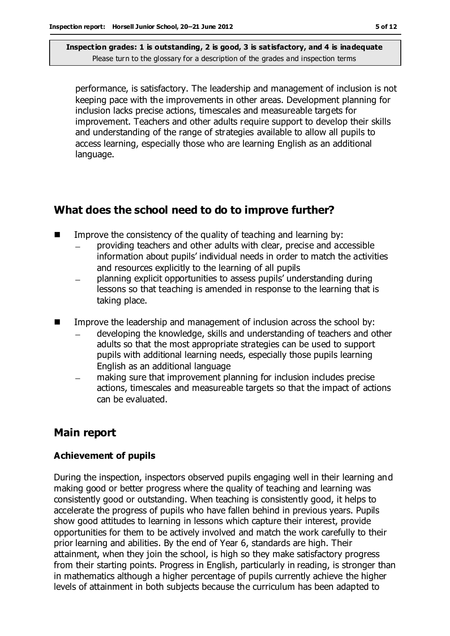performance, is satisfactory. The leadership and management of inclusion is not keeping pace with the improvements in other areas. Development planning for inclusion lacks precise actions, timescales and measureable targets for improvement. Teachers and other adults require support to develop their skills and understanding of the range of strategies available to allow all pupils to access learning, especially those who are learning English as an additional language.

## **What does the school need to do to improve further?**

- $\blacksquare$  Improve the consistency of the quality of teaching and learning by:
	- providing teachers and other adults with clear, precise and accessible information about pupils' individual needs in order to match the activities and resources explicitly to the learning of all pupils
	- planning explicit opportunities to assess pupils' understanding during lessons so that teaching is amended in response to the learning that is taking place.
- Improve the leadership and management of inclusion across the school by:
	- developing the knowledge, skills and understanding of teachers and other adults so that the most appropriate strategies can be used to support pupils with additional learning needs, especially those pupils learning English as an additional language
	- making sure that improvement planning for inclusion includes precise actions, timescales and measureable targets so that the impact of actions can be evaluated.

## **Main report**

#### **Achievement of pupils**

During the inspection, inspectors observed pupils engaging well in their learning and making good or better progress where the quality of teaching and learning was consistently good or outstanding. When teaching is consistently good, it helps to accelerate the progress of pupils who have fallen behind in previous years. Pupils show good attitudes to learning in lessons which capture their interest, provide opportunities for them to be actively involved and match the work carefully to their prior learning and abilities. By the end of Year 6, standards are high. Their attainment, when they join the school, is high so they make satisfactory progress from their starting points. Progress in English, particularly in reading, is stronger than in mathematics although a higher percentage of pupils currently achieve the higher levels of attainment in both subjects because the curriculum has been adapted to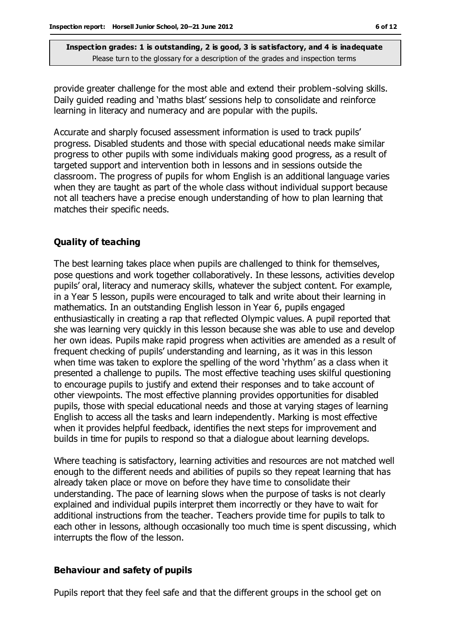provide greater challenge for the most able and extend their problem-solving skills. Daily guided reading and 'maths blast' sessions help to consolidate and reinforce learning in literacy and numeracy and are popular with the pupils.

Accurate and sharply focused assessment information is used to track pupils' progress. Disabled students and those with special educational needs make similar progress to other pupils with some individuals making good progress, as a result of targeted support and intervention both in lessons and in sessions outside the classroom. The progress of pupils for whom English is an additional language varies when they are taught as part of the whole class without individual support because not all teachers have a precise enough understanding of how to plan learning that matches their specific needs.

#### **Quality of teaching**

The best learning takes place when pupils are challenged to think for themselves, pose questions and work together collaboratively. In these lessons, activities develop pupils' oral, literacy and numeracy skills, whatever the subject content. For example, in a Year 5 lesson, pupils were encouraged to talk and write about their learning in mathematics. In an outstanding English lesson in Year 6, pupils engaged enthusiastically in creating a rap that reflected Olympic values. A pupil reported that she was learning very quickly in this lesson because she was able to use and develop her own ideas. Pupils make rapid progress when activities are amended as a result of frequent checking of pupils' understanding and learning, as it was in this lesson when time was taken to explore the spelling of the word 'rhythm' as a class when it presented a challenge to pupils. The most effective teaching uses skilful questioning to encourage pupils to justify and extend their responses and to take account of other viewpoints. The most effective planning provides opportunities for disabled pupils, those with special educational needs and those at varying stages of learning English to access all the tasks and learn independently. Marking is most effective when it provides helpful feedback, identifies the next steps for improvement and builds in time for pupils to respond so that a dialogue about learning develops.

Where teaching is satisfactory, learning activities and resources are not matched well enough to the different needs and abilities of pupils so they repeat learning that has already taken place or move on before they have time to consolidate their understanding. The pace of learning slows when the purpose of tasks is not clearly explained and individual pupils interpret them incorrectly or they have to wait for additional instructions from the teacher. Teachers provide time for pupils to talk to each other in lessons, although occasionally too much time is spent discussing, which interrupts the flow of the lesson.

#### **Behaviour and safety of pupils**

Pupils report that they feel safe and that the different groups in the school get on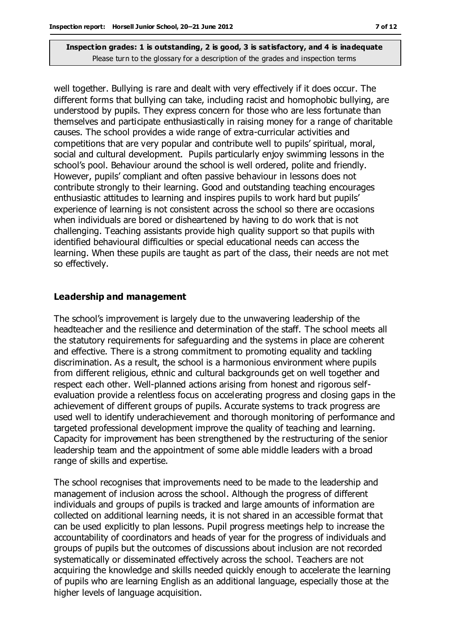well together. Bullying is rare and dealt with very effectively if it does occur. The different forms that bullying can take, including racist and homophobic bullying, are understood by pupils. They express concern for those who are less fortunate than themselves and participate enthusiastically in raising money for a range of charitable causes. The school provides a wide range of extra-curricular activities and competitions that are very popular and contribute well to pupils' spiritual, moral, social and cultural development. Pupils particularly enjoy swimming lessons in the school's pool. Behaviour around the school is well ordered, polite and friendly. However, pupils' compliant and often passive behaviour in lessons does not contribute strongly to their learning. Good and outstanding teaching encourages enthusiastic attitudes to learning and inspires pupils to work hard but pupils' experience of learning is not consistent across the school so there are occasions when individuals are bored or disheartened by having to do work that is not challenging. Teaching assistants provide high quality support so that pupils with identified behavioural difficulties or special educational needs can access the learning. When these pupils are taught as part of the class, their needs are not met so effectively.

#### **Leadership and management**

The school's improvement is largely due to the unwavering leadership of the headteacher and the resilience and determination of the staff. The school meets all the statutory requirements for safeguarding and the systems in place are coherent and effective. There is a strong commitment to promoting equality and tackling discrimination. As a result, the school is a harmonious environment where pupils from different religious, ethnic and cultural backgrounds get on well together and respect each other. Well-planned actions arising from honest and rigorous selfevaluation provide a relentless focus on accelerating progress and closing gaps in the achievement of different groups of pupils. Accurate systems to track progress are used well to identify underachievement and thorough monitoring of performance and targeted professional development improve the quality of teaching and learning. Capacity for improvement has been strengthened by the restructuring of the senior leadership team and the appointment of some able middle leaders with a broad range of skills and expertise.

The school recognises that improvements need to be made to the leadership and management of inclusion across the school. Although the progress of different individuals and groups of pupils is tracked and large amounts of information are collected on additional learning needs, it is not shared in an accessible format that can be used explicitly to plan lessons. Pupil progress meetings help to increase the accountability of coordinators and heads of year for the progress of individuals and groups of pupils but the outcomes of discussions about inclusion are not recorded systematically or disseminated effectively across the school. Teachers are not acquiring the knowledge and skills needed quickly enough to accelerate the learning of pupils who are learning English as an additional language, especially those at the higher levels of language acquisition.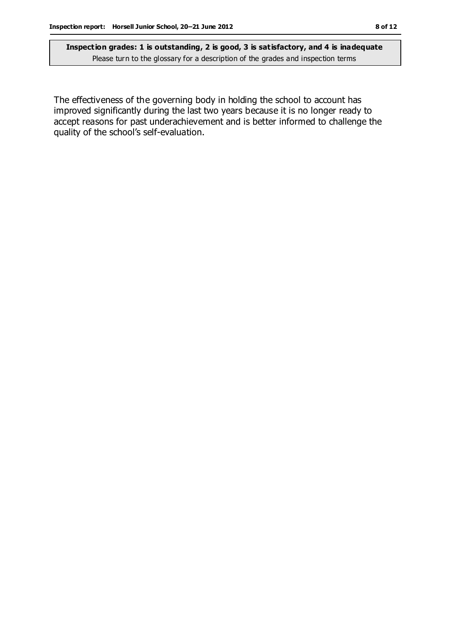The effectiveness of the governing body in holding the school to account has improved significantly during the last two years because it is no longer ready to accept reasons for past underachievement and is better informed to challenge the quality of the school's self-evaluation.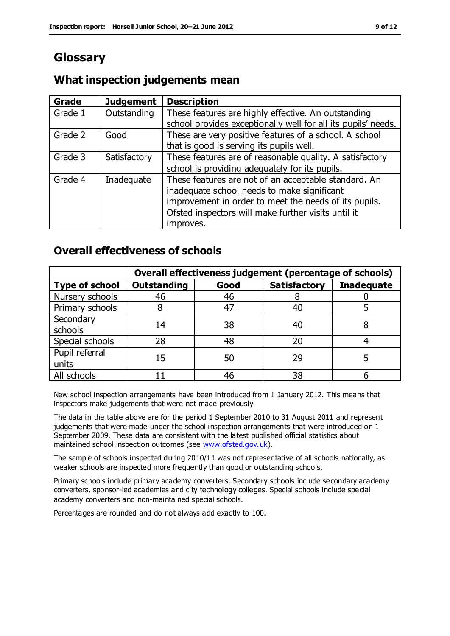## **Glossary**

## **What inspection judgements mean**

| Grade   | <b>Judgement</b> | <b>Description</b>                                                                                                                                                                                                               |
|---------|------------------|----------------------------------------------------------------------------------------------------------------------------------------------------------------------------------------------------------------------------------|
| Grade 1 | Outstanding      | These features are highly effective. An outstanding<br>school provides exceptionally well for all its pupils' needs.                                                                                                             |
| Grade 2 | Good             | These are very positive features of a school. A school<br>that is good is serving its pupils well.                                                                                                                               |
| Grade 3 | Satisfactory     | These features are of reasonable quality. A satisfactory<br>school is providing adequately for its pupils.                                                                                                                       |
| Grade 4 | Inadequate       | These features are not of an acceptable standard. An<br>inadequate school needs to make significant<br>improvement in order to meet the needs of its pupils.<br>Ofsted inspectors will make further visits until it<br>improves. |

## **Overall effectiveness of schools**

|                         | Overall effectiveness judgement (percentage of schools) |      |                     |                   |
|-------------------------|---------------------------------------------------------|------|---------------------|-------------------|
| <b>Type of school</b>   | <b>Outstanding</b>                                      | Good | <b>Satisfactory</b> | <b>Inadequate</b> |
| Nursery schools         | 46                                                      | 46   |                     |                   |
| Primary schools         |                                                         | 47   | 40                  |                   |
| Secondary<br>schools    | 14                                                      | 38   | 40                  |                   |
| Special schools         | 28                                                      | 48   | 20                  |                   |
| Pupil referral<br>units | 15                                                      | 50   | 29                  |                   |
| All schools             |                                                         | 46   | 38                  |                   |

New school inspection arrangements have been introduced from 1 January 2012. This means that inspectors make judgements that were not made previously.

The data in the table above are for the period 1 September 2010 to 31 August 2011 and represent judgements that were made under the school inspection arrangements that were introduced on 1 September 2009. These data are consistent with the latest published official statistics about maintained school inspection outcomes (see [www.ofsted.gov.uk\)](http://www.ofsted.gov.uk/).

The sample of schools inspected during 2010/11 was not representative of all schools nationally, as weaker schools are inspected more frequently than good or outstanding schools.

Primary schools include primary academy converters. Secondary schools include secondary academy converters, sponsor-led academies and city technology colleges. Special schools include special academy converters and non-maintained special schools.

Percentages are rounded and do not always add exactly to 100.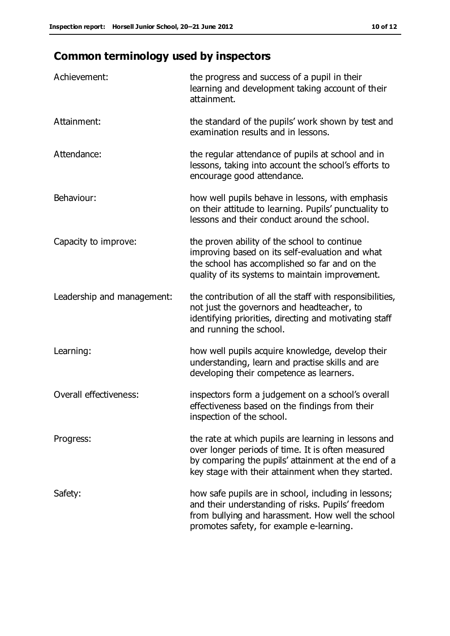# **Common terminology used by inspectors**

| Achievement:                  | the progress and success of a pupil in their<br>learning and development taking account of their<br>attainment.                                                                                                        |
|-------------------------------|------------------------------------------------------------------------------------------------------------------------------------------------------------------------------------------------------------------------|
| Attainment:                   | the standard of the pupils' work shown by test and<br>examination results and in lessons.                                                                                                                              |
| Attendance:                   | the regular attendance of pupils at school and in<br>lessons, taking into account the school's efforts to<br>encourage good attendance.                                                                                |
| Behaviour:                    | how well pupils behave in lessons, with emphasis<br>on their attitude to learning. Pupils' punctuality to<br>lessons and their conduct around the school.                                                              |
| Capacity to improve:          | the proven ability of the school to continue<br>improving based on its self-evaluation and what<br>the school has accomplished so far and on the<br>quality of its systems to maintain improvement.                    |
| Leadership and management:    | the contribution of all the staff with responsibilities,<br>not just the governors and headteacher, to<br>identifying priorities, directing and motivating staff<br>and running the school.                            |
| Learning:                     | how well pupils acquire knowledge, develop their<br>understanding, learn and practise skills and are<br>developing their competence as learners.                                                                       |
| <b>Overall effectiveness:</b> | inspectors form a judgement on a school's overall<br>effectiveness based on the findings from their<br>inspection of the school.                                                                                       |
| Progress:                     | the rate at which pupils are learning in lessons and<br>over longer periods of time. It is often measured<br>by comparing the pupils' attainment at the end of a<br>key stage with their attainment when they started. |
| Safety:                       | how safe pupils are in school, including in lessons;<br>and their understanding of risks. Pupils' freedom<br>from bullying and harassment. How well the school<br>promotes safety, for example e-learning.             |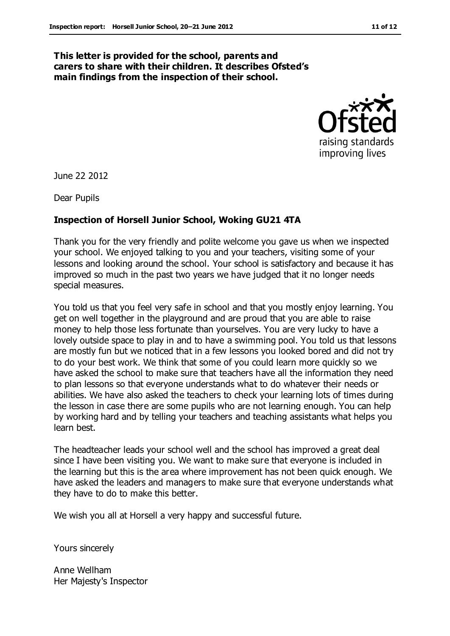#### **This letter is provided for the school, parents and carers to share with their children. It describes Ofsted's main findings from the inspection of their school.**



June 22 2012

Dear Pupils

#### **Inspection of Horsell Junior School, Woking GU21 4TA**

Thank you for the very friendly and polite welcome you gave us when we inspected your school. We enjoyed talking to you and your teachers, visiting some of your lessons and looking around the school. Your school is satisfactory and because it has improved so much in the past two years we have judged that it no longer needs special measures.

You told us that you feel very safe in school and that you mostly enjoy learning. You get on well together in the playground and are proud that you are able to raise money to help those less fortunate than yourselves. You are very lucky to have a lovely outside space to play in and to have a swimming pool. You told us that lessons are mostly fun but we noticed that in a few lessons you looked bored and did not try to do your best work. We think that some of you could learn more quickly so we have asked the school to make sure that teachers have all the information they need to plan lessons so that everyone understands what to do whatever their needs or abilities. We have also asked the teachers to check your learning lots of times during the lesson in case there are some pupils who are not learning enough. You can help by working hard and by telling your teachers and teaching assistants what helps you learn best.

The headteacher leads your school well and the school has improved a great deal since I have been visiting you. We want to make sure that everyone is included in the learning but this is the area where improvement has not been quick enough. We have asked the leaders and managers to make sure that everyone understands what they have to do to make this better.

We wish you all at Horsell a very happy and successful future.

Yours sincerely

Anne Wellham Her Majesty's Inspector